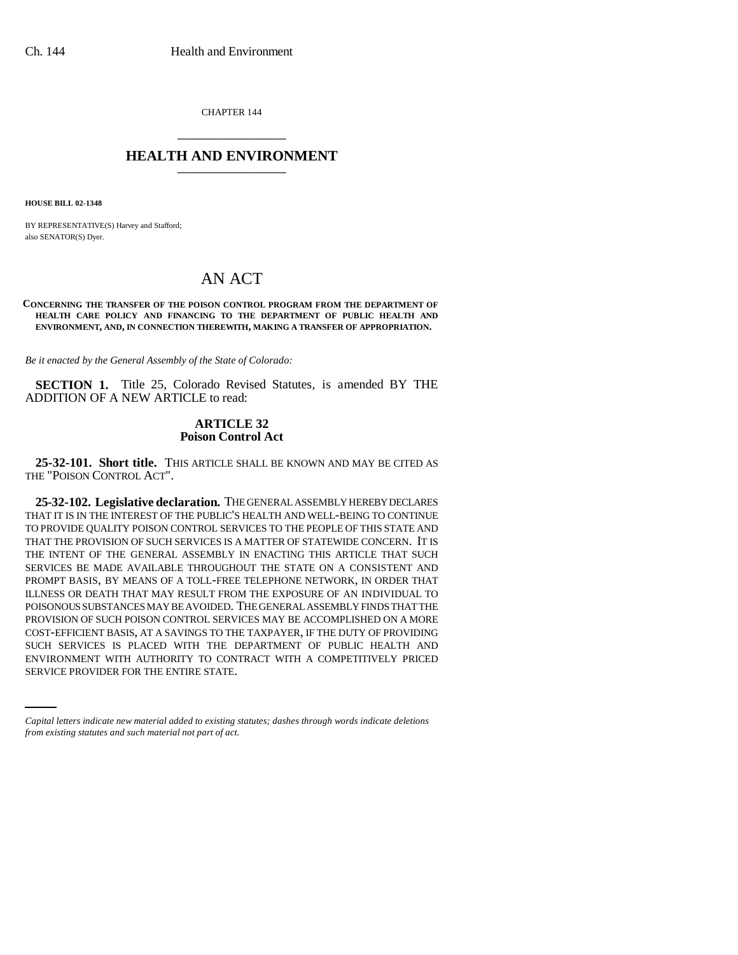CHAPTER 144 \_\_\_\_\_\_\_\_\_\_\_\_\_\_\_

## **HEALTH AND ENVIRONMENT** \_\_\_\_\_\_\_\_\_\_\_\_\_\_\_

**HOUSE BILL 02-1348**

BY REPRESENTATIVE(S) Harvey and Stafford; also SENATOR(S) Dyer.

# AN ACT

#### **CONCERNING THE TRANSFER OF THE POISON CONTROL PROGRAM FROM THE DEPARTMENT OF HEALTH CARE POLICY AND FINANCING TO THE DEPARTMENT OF PUBLIC HEALTH AND ENVIRONMENT, AND, IN CONNECTION THEREWITH, MAKING A TRANSFER OF APPROPRIATION.**

*Be it enacted by the General Assembly of the State of Colorado:*

**SECTION 1.** Title 25, Colorado Revised Statutes, is amended BY THE ADDITION OF A NEW ARTICLE to read:

## **ARTICLE 32 Poison Control Act**

**25-32-101. Short title.** THIS ARTICLE SHALL BE KNOWN AND MAY BE CITED AS THE "POISON CONTROL ACT".

SUCH SERVICES IS PLACED WITH THE DEPARTMENT OF PUBLIC HEALTH AND **25-32-102. Legislative declaration.** THE GENERAL ASSEMBLY HEREBY DECLARES THAT IT IS IN THE INTEREST OF THE PUBLIC'S HEALTH AND WELL-BEING TO CONTINUE TO PROVIDE QUALITY POISON CONTROL SERVICES TO THE PEOPLE OF THIS STATE AND THAT THE PROVISION OF SUCH SERVICES IS A MATTER OF STATEWIDE CONCERN. IT IS THE INTENT OF THE GENERAL ASSEMBLY IN ENACTING THIS ARTICLE THAT SUCH SERVICES BE MADE AVAILABLE THROUGHOUT THE STATE ON A CONSISTENT AND PROMPT BASIS, BY MEANS OF A TOLL-FREE TELEPHONE NETWORK, IN ORDER THAT ILLNESS OR DEATH THAT MAY RESULT FROM THE EXPOSURE OF AN INDIVIDUAL TO POISONOUS SUBSTANCES MAY BE AVOIDED. THE GENERAL ASSEMBLY FINDS THAT THE PROVISION OF SUCH POISON CONTROL SERVICES MAY BE ACCOMPLISHED ON A MORE COST-EFFICIENT BASIS, AT A SAVINGS TO THE TAXPAYER, IF THE DUTY OF PROVIDING ENVIRONMENT WITH AUTHORITY TO CONTRACT WITH A COMPETITIVELY PRICED SERVICE PROVIDER FOR THE ENTIRE STATE.

*Capital letters indicate new material added to existing statutes; dashes through words indicate deletions from existing statutes and such material not part of act.*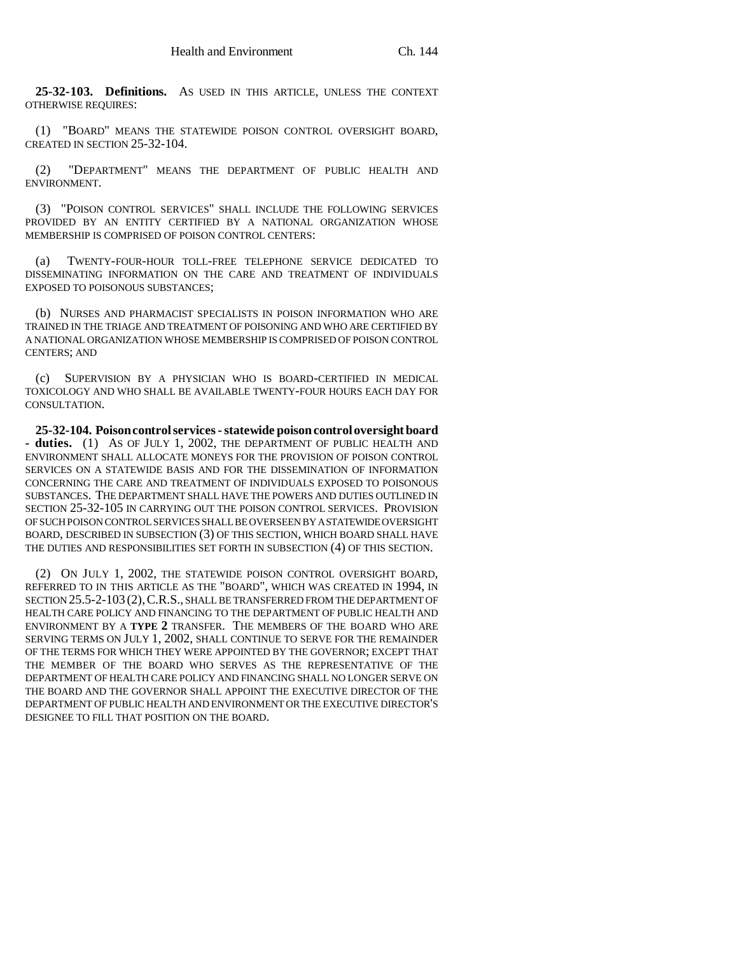**25-32-103. Definitions.** AS USED IN THIS ARTICLE, UNLESS THE CONTEXT OTHERWISE REQUIRES:

(1) "BOARD" MEANS THE STATEWIDE POISON CONTROL OVERSIGHT BOARD, CREATED IN SECTION 25-32-104.

(2) "DEPARTMENT" MEANS THE DEPARTMENT OF PUBLIC HEALTH AND ENVIRONMENT.

(3) "POISON CONTROL SERVICES" SHALL INCLUDE THE FOLLOWING SERVICES PROVIDED BY AN ENTITY CERTIFIED BY A NATIONAL ORGANIZATION WHOSE MEMBERSHIP IS COMPRISED OF POISON CONTROL CENTERS:

(a) TWENTY-FOUR-HOUR TOLL-FREE TELEPHONE SERVICE DEDICATED TO DISSEMINATING INFORMATION ON THE CARE AND TREATMENT OF INDIVIDUALS EXPOSED TO POISONOUS SUBSTANCES;

(b) NURSES AND PHARMACIST SPECIALISTS IN POISON INFORMATION WHO ARE TRAINED IN THE TRIAGE AND TREATMENT OF POISONING AND WHO ARE CERTIFIED BY A NATIONAL ORGANIZATION WHOSE MEMBERSHIP IS COMPRISED OF POISON CONTROL CENTERS; AND

(c) SUPERVISION BY A PHYSICIAN WHO IS BOARD-CERTIFIED IN MEDICAL TOXICOLOGY AND WHO SHALL BE AVAILABLE TWENTY-FOUR HOURS EACH DAY FOR CONSULTATION.

**25-32-104. Poison control services - statewide poison control oversight board** - duties. (1) AS OF JULY 1, 2002, THE DEPARTMENT OF PUBLIC HEALTH AND ENVIRONMENT SHALL ALLOCATE MONEYS FOR THE PROVISION OF POISON CONTROL SERVICES ON A STATEWIDE BASIS AND FOR THE DISSEMINATION OF INFORMATION CONCERNING THE CARE AND TREATMENT OF INDIVIDUALS EXPOSED TO POISONOUS SUBSTANCES. THE DEPARTMENT SHALL HAVE THE POWERS AND DUTIES OUTLINED IN SECTION 25-32-105 IN CARRYING OUT THE POISON CONTROL SERVICES. PROVISION OF SUCH POISON CONTROL SERVICES SHALL BE OVERSEEN BY A STATEWIDE OVERSIGHT BOARD, DESCRIBED IN SUBSECTION (3) OF THIS SECTION, WHICH BOARD SHALL HAVE THE DUTIES AND RESPONSIBILITIES SET FORTH IN SUBSECTION (4) OF THIS SECTION.

(2) ON JULY 1, 2002, THE STATEWIDE POISON CONTROL OVERSIGHT BOARD, REFERRED TO IN THIS ARTICLE AS THE "BOARD", WHICH WAS CREATED IN 1994, IN SECTION 25.5-2-103 (2),C.R.S., SHALL BE TRANSFERRED FROM THE DEPARTMENT OF HEALTH CARE POLICY AND FINANCING TO THE DEPARTMENT OF PUBLIC HEALTH AND ENVIRONMENT BY A **TYPE 2** TRANSFER. THE MEMBERS OF THE BOARD WHO ARE SERVING TERMS ON JULY 1, 2002, SHALL CONTINUE TO SERVE FOR THE REMAINDER OF THE TERMS FOR WHICH THEY WERE APPOINTED BY THE GOVERNOR; EXCEPT THAT THE MEMBER OF THE BOARD WHO SERVES AS THE REPRESENTATIVE OF THE DEPARTMENT OF HEALTH CARE POLICY AND FINANCING SHALL NO LONGER SERVE ON THE BOARD AND THE GOVERNOR SHALL APPOINT THE EXECUTIVE DIRECTOR OF THE DEPARTMENT OF PUBLIC HEALTH AND ENVIRONMENT OR THE EXECUTIVE DIRECTOR'S DESIGNEE TO FILL THAT POSITION ON THE BOARD.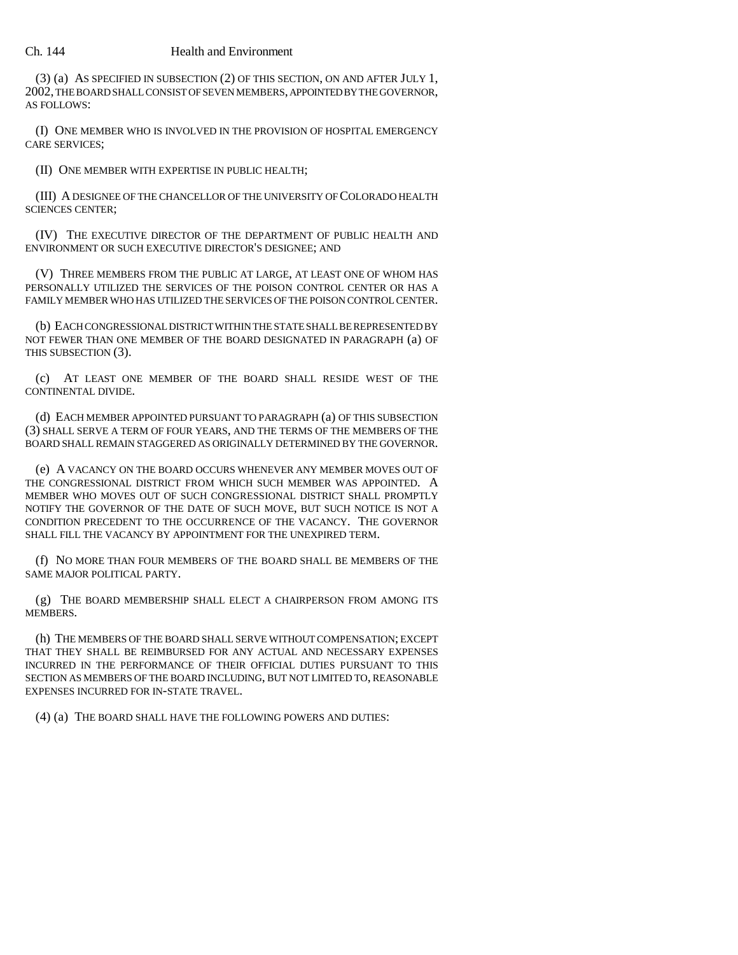### Ch. 144 Health and Environment

(3) (a) AS SPECIFIED IN SUBSECTION (2) OF THIS SECTION, ON AND AFTER JULY 1, 2002, THE BOARD SHALL CONSIST OF SEVEN MEMBERS, APPOINTED BY THE GOVERNOR, AS FOLLOWS:

(I) ONE MEMBER WHO IS INVOLVED IN THE PROVISION OF HOSPITAL EMERGENCY CARE SERVICES;

(II) ONE MEMBER WITH EXPERTISE IN PUBLIC HEALTH;

(III) A DESIGNEE OF THE CHANCELLOR OF THE UNIVERSITY OF COLORADO HEALTH SCIENCES CENTER;

(IV) THE EXECUTIVE DIRECTOR OF THE DEPARTMENT OF PUBLIC HEALTH AND ENVIRONMENT OR SUCH EXECUTIVE DIRECTOR'S DESIGNEE; AND

(V) THREE MEMBERS FROM THE PUBLIC AT LARGE, AT LEAST ONE OF WHOM HAS PERSONALLY UTILIZED THE SERVICES OF THE POISON CONTROL CENTER OR HAS A FAMILY MEMBER WHO HAS UTILIZED THE SERVICES OF THE POISON CONTROL CENTER.

(b) EACH CONGRESSIONAL DISTRICT WITHIN THE STATE SHALL BE REPRESENTED BY NOT FEWER THAN ONE MEMBER OF THE BOARD DESIGNATED IN PARAGRAPH (a) OF THIS SUBSECTION (3).

(c) AT LEAST ONE MEMBER OF THE BOARD SHALL RESIDE WEST OF THE CONTINENTAL DIVIDE.

(d) EACH MEMBER APPOINTED PURSUANT TO PARAGRAPH (a) OF THIS SUBSECTION (3) SHALL SERVE A TERM OF FOUR YEARS, AND THE TERMS OF THE MEMBERS OF THE BOARD SHALL REMAIN STAGGERED AS ORIGINALLY DETERMINED BY THE GOVERNOR.

(e) A VACANCY ON THE BOARD OCCURS WHENEVER ANY MEMBER MOVES OUT OF THE CONGRESSIONAL DISTRICT FROM WHICH SUCH MEMBER WAS APPOINTED. A MEMBER WHO MOVES OUT OF SUCH CONGRESSIONAL DISTRICT SHALL PROMPTLY NOTIFY THE GOVERNOR OF THE DATE OF SUCH MOVE, BUT SUCH NOTICE IS NOT A CONDITION PRECEDENT TO THE OCCURRENCE OF THE VACANCY. THE GOVERNOR SHALL FILL THE VACANCY BY APPOINTMENT FOR THE UNEXPIRED TERM.

(f) NO MORE THAN FOUR MEMBERS OF THE BOARD SHALL BE MEMBERS OF THE SAME MAJOR POLITICAL PARTY.

(g) THE BOARD MEMBERSHIP SHALL ELECT A CHAIRPERSON FROM AMONG ITS MEMBERS.

(h) THE MEMBERS OF THE BOARD SHALL SERVE WITHOUT COMPENSATION; EXCEPT THAT THEY SHALL BE REIMBURSED FOR ANY ACTUAL AND NECESSARY EXPENSES INCURRED IN THE PERFORMANCE OF THEIR OFFICIAL DUTIES PURSUANT TO THIS SECTION AS MEMBERS OF THE BOARD INCLUDING, BUT NOT LIMITED TO, REASONABLE EXPENSES INCURRED FOR IN-STATE TRAVEL.

(4) (a) THE BOARD SHALL HAVE THE FOLLOWING POWERS AND DUTIES: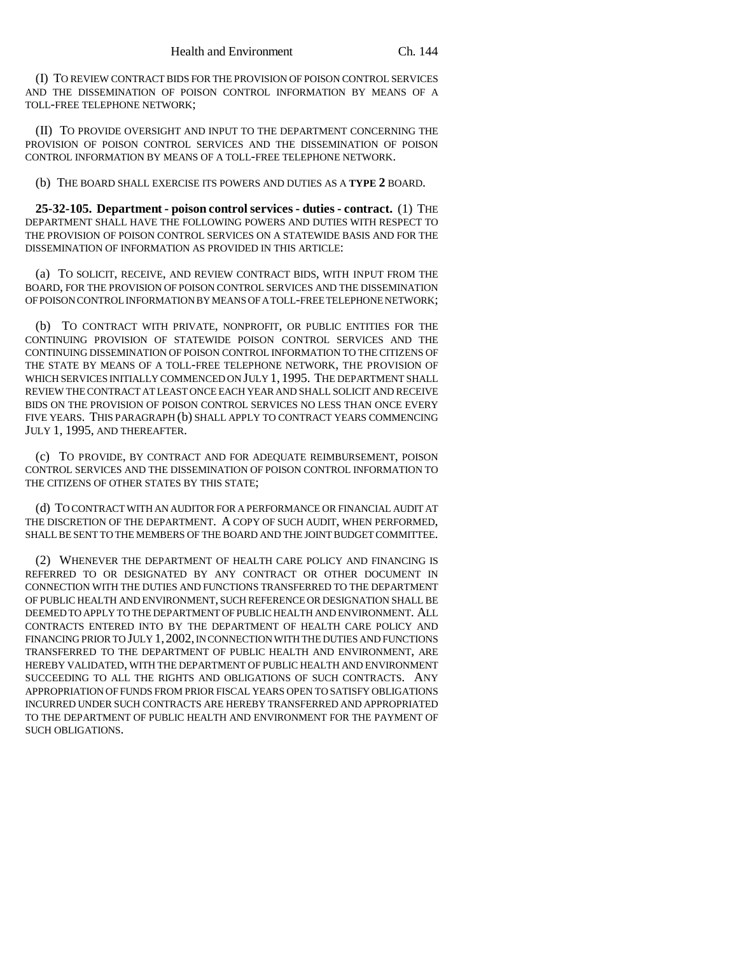(I) TO REVIEW CONTRACT BIDS FOR THE PROVISION OF POISON CONTROL SERVICES AND THE DISSEMINATION OF POISON CONTROL INFORMATION BY MEANS OF A TOLL-FREE TELEPHONE NETWORK;

(II) TO PROVIDE OVERSIGHT AND INPUT TO THE DEPARTMENT CONCERNING THE PROVISION OF POISON CONTROL SERVICES AND THE DISSEMINATION OF POISON CONTROL INFORMATION BY MEANS OF A TOLL-FREE TELEPHONE NETWORK.

(b) THE BOARD SHALL EXERCISE ITS POWERS AND DUTIES AS A **TYPE 2** BOARD.

**25-32-105. Department - poison control services - duties - contract.** (1) THE DEPARTMENT SHALL HAVE THE FOLLOWING POWERS AND DUTIES WITH RESPECT TO THE PROVISION OF POISON CONTROL SERVICES ON A STATEWIDE BASIS AND FOR THE DISSEMINATION OF INFORMATION AS PROVIDED IN THIS ARTICLE:

(a) TO SOLICIT, RECEIVE, AND REVIEW CONTRACT BIDS, WITH INPUT FROM THE BOARD, FOR THE PROVISION OF POISON CONTROL SERVICES AND THE DISSEMINATION OF POISON CONTROL INFORMATION BY MEANS OF A TOLL-FREE TELEPHONE NETWORK;

(b) TO CONTRACT WITH PRIVATE, NONPROFIT, OR PUBLIC ENTITIES FOR THE CONTINUING PROVISION OF STATEWIDE POISON CONTROL SERVICES AND THE CONTINUING DISSEMINATION OF POISON CONTROL INFORMATION TO THE CITIZENS OF THE STATE BY MEANS OF A TOLL-FREE TELEPHONE NETWORK, THE PROVISION OF WHICH SERVICES INITIALLY COMMENCED ON JULY 1, 1995. THE DEPARTMENT SHALL REVIEW THE CONTRACT AT LEAST ONCE EACH YEAR AND SHALL SOLICIT AND RECEIVE BIDS ON THE PROVISION OF POISON CONTROL SERVICES NO LESS THAN ONCE EVERY FIVE YEARS. THIS PARAGRAPH (b) SHALL APPLY TO CONTRACT YEARS COMMENCING JULY 1, 1995, AND THEREAFTER.

(c) TO PROVIDE, BY CONTRACT AND FOR ADEQUATE REIMBURSEMENT, POISON CONTROL SERVICES AND THE DISSEMINATION OF POISON CONTROL INFORMATION TO THE CITIZENS OF OTHER STATES BY THIS STATE;

(d) TO CONTRACT WITH AN AUDITOR FOR A PERFORMANCE OR FINANCIAL AUDIT AT THE DISCRETION OF THE DEPARTMENT. A COPY OF SUCH AUDIT, WHEN PERFORMED, SHALL BE SENT TO THE MEMBERS OF THE BOARD AND THE JOINT BUDGET COMMITTEE.

(2) WHENEVER THE DEPARTMENT OF HEALTH CARE POLICY AND FINANCING IS REFERRED TO OR DESIGNATED BY ANY CONTRACT OR OTHER DOCUMENT IN CONNECTION WITH THE DUTIES AND FUNCTIONS TRANSFERRED TO THE DEPARTMENT OF PUBLIC HEALTH AND ENVIRONMENT, SUCH REFERENCE OR DESIGNATION SHALL BE DEEMED TO APPLY TO THE DEPARTMENT OF PUBLIC HEALTH AND ENVIRONMENT. ALL CONTRACTS ENTERED INTO BY THE DEPARTMENT OF HEALTH CARE POLICY AND FINANCING PRIOR TO JULY 1,2002, IN CONNECTION WITH THE DUTIES AND FUNCTIONS TRANSFERRED TO THE DEPARTMENT OF PUBLIC HEALTH AND ENVIRONMENT, ARE HEREBY VALIDATED, WITH THE DEPARTMENT OF PUBLIC HEALTH AND ENVIRONMENT SUCCEEDING TO ALL THE RIGHTS AND OBLIGATIONS OF SUCH CONTRACTS. ANY APPROPRIATION OF FUNDS FROM PRIOR FISCAL YEARS OPEN TO SATISFY OBLIGATIONS INCURRED UNDER SUCH CONTRACTS ARE HEREBY TRANSFERRED AND APPROPRIATED TO THE DEPARTMENT OF PUBLIC HEALTH AND ENVIRONMENT FOR THE PAYMENT OF SUCH OBLIGATIONS.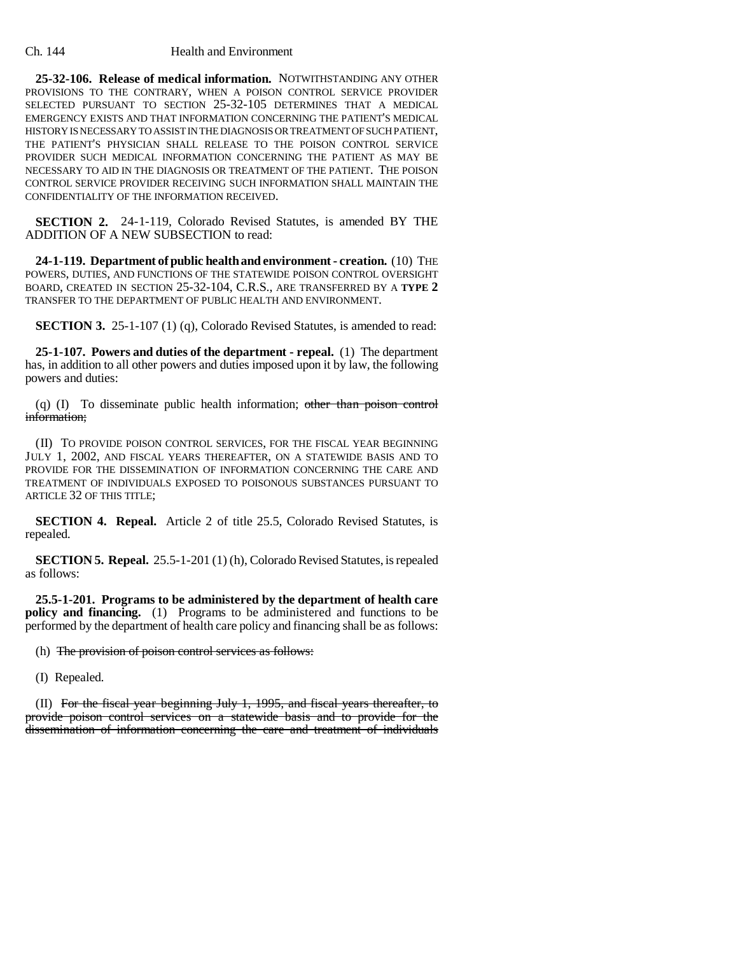**25-32-106. Release of medical information.** NOTWITHSTANDING ANY OTHER PROVISIONS TO THE CONTRARY, WHEN A POISON CONTROL SERVICE PROVIDER SELECTED PURSUANT TO SECTION 25-32-105 DETERMINES THAT A MEDICAL EMERGENCY EXISTS AND THAT INFORMATION CONCERNING THE PATIENT'S MEDICAL HISTORY IS NECESSARY TO ASSIST IN THE DIAGNOSIS OR TREATMENT OF SUCH PATIENT, THE PATIENT'S PHYSICIAN SHALL RELEASE TO THE POISON CONTROL SERVICE PROVIDER SUCH MEDICAL INFORMATION CONCERNING THE PATIENT AS MAY BE NECESSARY TO AID IN THE DIAGNOSIS OR TREATMENT OF THE PATIENT. THE POISON CONTROL SERVICE PROVIDER RECEIVING SUCH INFORMATION SHALL MAINTAIN THE CONFIDENTIALITY OF THE INFORMATION RECEIVED.

**SECTION 2.** 24-1-119, Colorado Revised Statutes, is amended BY THE ADDITION OF A NEW SUBSECTION to read:

**24-1-119. Department of public health and environment - creation.** (10) THE POWERS, DUTIES, AND FUNCTIONS OF THE STATEWIDE POISON CONTROL OVERSIGHT BOARD, CREATED IN SECTION 25-32-104, C.R.S., ARE TRANSFERRED BY A **TYPE 2** TRANSFER TO THE DEPARTMENT OF PUBLIC HEALTH AND ENVIRONMENT.

**SECTION 3.** 25-1-107 (1) (q), Colorado Revised Statutes, is amended to read:

**25-1-107. Powers and duties of the department - repeal.** (1) The department has, in addition to all other powers and duties imposed upon it by law, the following powers and duties:

(q) (I) To disseminate public health information; other than poison control information:

(II) TO PROVIDE POISON CONTROL SERVICES, FOR THE FISCAL YEAR BEGINNING JULY 1, 2002, AND FISCAL YEARS THEREAFTER, ON A STATEWIDE BASIS AND TO PROVIDE FOR THE DISSEMINATION OF INFORMATION CONCERNING THE CARE AND TREATMENT OF INDIVIDUALS EXPOSED TO POISONOUS SUBSTANCES PURSUANT TO ARTICLE 32 OF THIS TITLE;

**SECTION 4. Repeal.** Article 2 of title 25.5, Colorado Revised Statutes, is repealed.

**SECTION 5. Repeal.** 25.5-1-201 (1) (h), Colorado Revised Statutes, is repealed as follows:

**25.5-1-201. Programs to be administered by the department of health care policy and financing.** (1) Programs to be administered and functions to be performed by the department of health care policy and financing shall be as follows:

(h) The provision of poison control services as follows:

(I) Repealed.

(II) For the fiscal year beginning July 1, 1995, and fiscal years thereafter, to provide poison control services on a statewide basis and to provide for the dissemination of information concerning the care and treatment of individuals